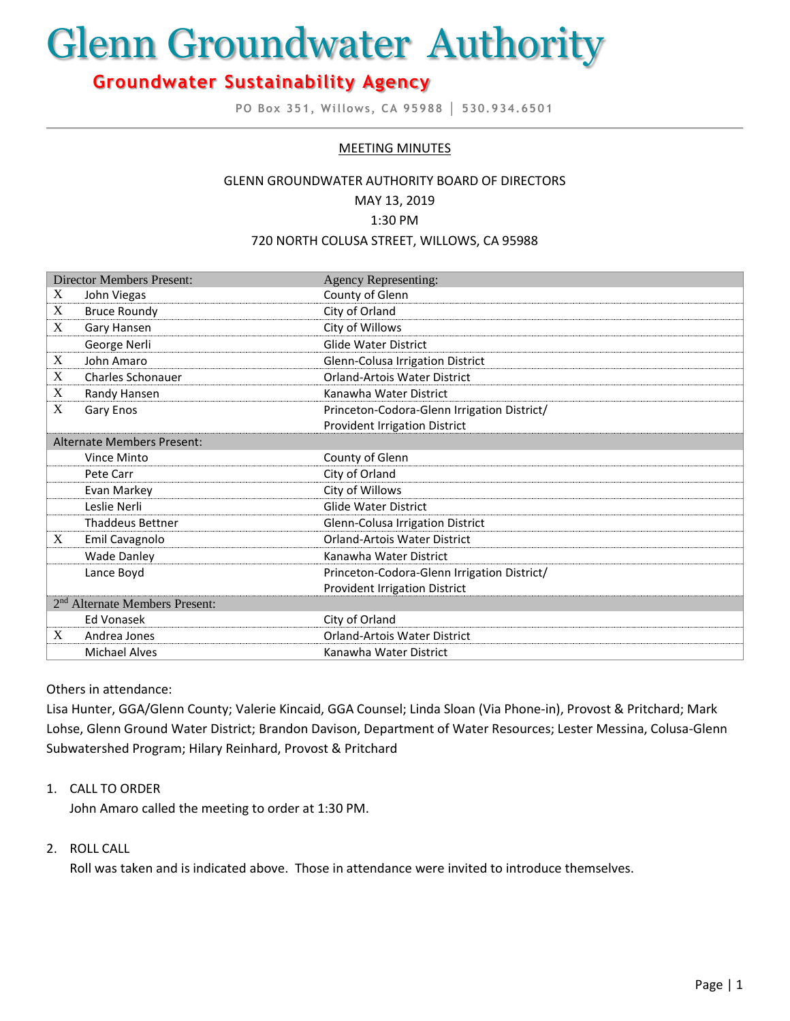# Glenn Groundwater Authority

# **Groundwater Sustainability Agency**

**PO Box 351, Willows, CA 95988 │ 530.934.6501**

# MEETING MINUTES

#### GLENN GROUNDWATER AUTHORITY BOARD OF DIRECTORS

MAY 13, 2019

#### 1:30 PM

#### 720 NORTH COLUSA STREET, WILLOWS, CA 95988

| <b>Director Members Present:</b>           |                         | <b>Agency Representing:</b>                 |
|--------------------------------------------|-------------------------|---------------------------------------------|
| X                                          | John Viegas             | County of Glenn                             |
| X                                          | <b>Bruce Roundy</b>     | City of Orland                              |
| X                                          | Gary Hansen             | City of Willows                             |
|                                            | George Nerli            | <b>Glide Water District</b>                 |
| X                                          | John Amaro              | Glenn-Colusa Irrigation District            |
| X                                          | Charles Schonauer       | <b>Orland-Artois Water District</b>         |
| X                                          | Randy Hansen            | Kanawha Water District                      |
| X                                          | Gary Enos               | Princeton-Codora-Glenn Irrigation District/ |
|                                            |                         | Provident Irrigation District               |
| Alternate Members Present:                 |                         |                                             |
|                                            | <b>Vince Minto</b>      | County of Glenn                             |
|                                            | Pete Carr               | City of Orland                              |
|                                            | Evan Markey             | City of Willows                             |
|                                            | Leslie Nerli            | <b>Glide Water District</b>                 |
|                                            | <b>Thaddeus Bettner</b> | Glenn-Colusa Irrigation District            |
| X                                          | Emil Cavagnolo          | Orland-Artois Water District                |
|                                            | <b>Wade Danley</b>      | Kanawha Water District                      |
|                                            | Lance Boyd              | Princeton-Codora-Glenn Irrigation District/ |
|                                            |                         | <b>Provident Irrigation District</b>        |
| 2 <sup>nd</sup> Alternate Members Present: |                         |                                             |
|                                            | Ed Vonasek              | City of Orland                              |
| X                                          | Andrea Jones            | <b>Orland-Artois Water District</b>         |
|                                            | <b>Michael Alves</b>    | Kanawha Water District                      |

#### Others in attendance:

Lisa Hunter, GGA/Glenn County; Valerie Kincaid, GGA Counsel; Linda Sloan (Via Phone-in), Provost & Pritchard; Mark Lohse, Glenn Ground Water District; Brandon Davison, Department of Water Resources; Lester Messina, Colusa-Glenn Subwatershed Program; Hilary Reinhard, Provost & Pritchard

# 1. CALL TO ORDER

John Amaro called the meeting to order at 1:30 PM.

# 2. ROLL CALL

Roll was taken and is indicated above. Those in attendance were invited to introduce themselves.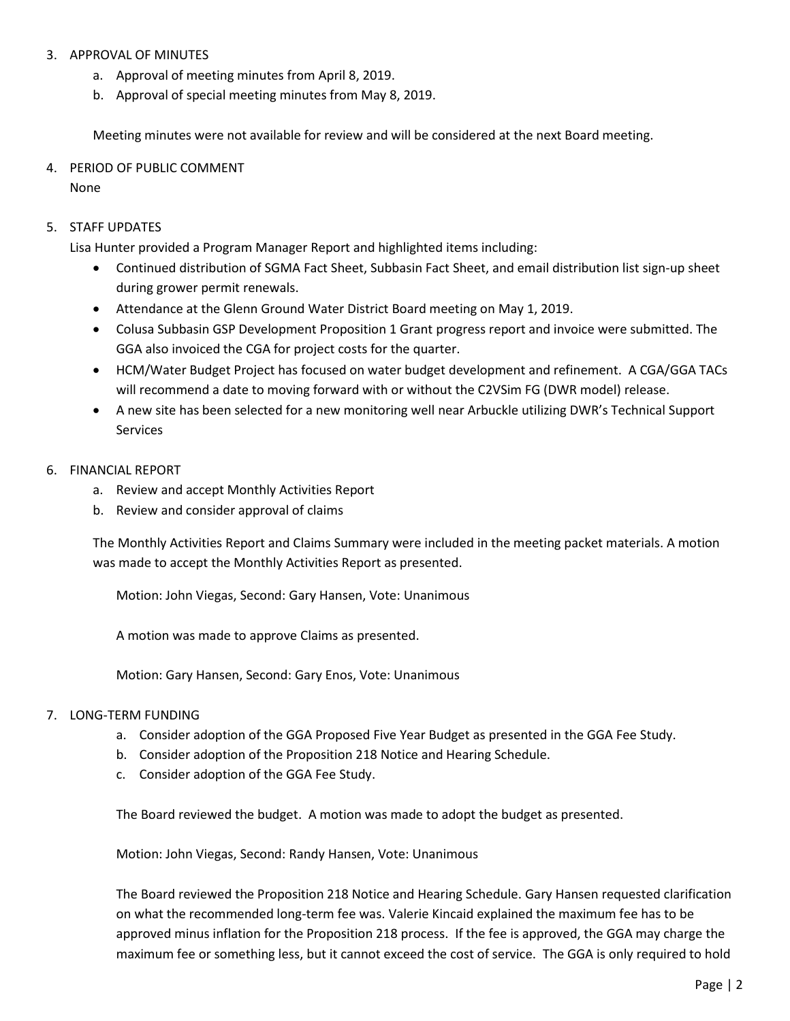#### 3. APPROVAL OF MINUTES

- a. Approval of meeting minutes from April 8, 2019.
- b. Approval of special meeting minutes from May 8, 2019.

Meeting minutes were not available for review and will be considered at the next Board meeting.

#### 4. PERIOD OF PUBLIC COMMENT

None

#### 5. STAFF UPDATES

Lisa Hunter provided a Program Manager Report and highlighted items including:

- Continued distribution of SGMA Fact Sheet, Subbasin Fact Sheet, and email distribution list sign-up sheet during grower permit renewals.
- Attendance at the Glenn Ground Water District Board meeting on May 1, 2019.
- Colusa Subbasin GSP Development Proposition 1 Grant progress report and invoice were submitted. The GGA also invoiced the CGA for project costs for the quarter.
- HCM/Water Budget Project has focused on water budget development and refinement. A CGA/GGA TACs will recommend a date to moving forward with or without the C2VSim FG (DWR model) release.
- A new site has been selected for a new monitoring well near Arbuckle utilizing DWR's Technical Support Services

#### 6. FINANCIAL REPORT

- a. Review and accept Monthly Activities Report
- b. Review and consider approval of claims

The Monthly Activities Report and Claims Summary were included in the meeting packet materials. A motion was made to accept the Monthly Activities Report as presented.

Motion: John Viegas, Second: Gary Hansen, Vote: Unanimous

A motion was made to approve Claims as presented.

Motion: Gary Hansen, Second: Gary Enos, Vote: Unanimous

# 7. LONG-TERM FUNDING

- a. Consider adoption of the GGA Proposed Five Year Budget as presented in the GGA Fee Study.
- b. Consider adoption of the Proposition 218 Notice and Hearing Schedule.
- c. Consider adoption of the GGA Fee Study.

The Board reviewed the budget. A motion was made to adopt the budget as presented.

Motion: John Viegas, Second: Randy Hansen, Vote: Unanimous

The Board reviewed the Proposition 218 Notice and Hearing Schedule. Gary Hansen requested clarification on what the recommended long-term fee was. Valerie Kincaid explained the maximum fee has to be approved minus inflation for the Proposition 218 process. If the fee is approved, the GGA may charge the maximum fee or something less, but it cannot exceed the cost of service. The GGA is only required to hold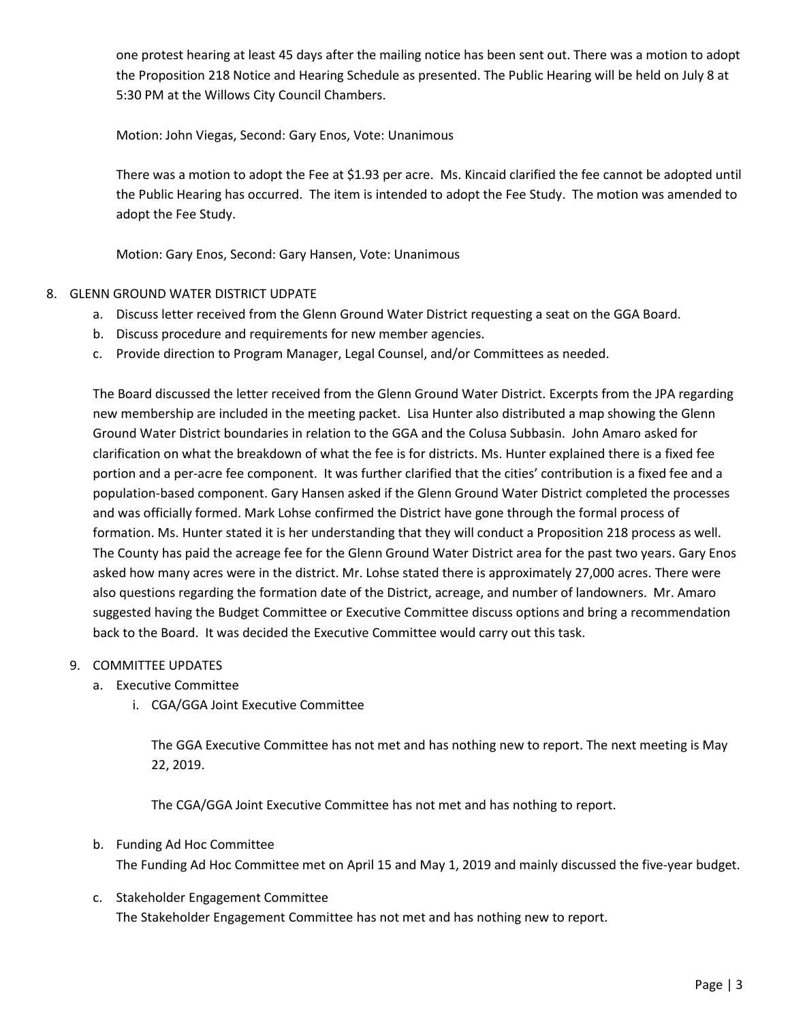one protest hearing at least 45 days after the mailing notice has been sent out. There was a motion to adopt the Proposition 218 Notice and Hearing Schedule as presented. The Public Hearing will be held on July 8 at 5:30 PM at the Willows City Council Chambers.

Motion: John Viegas, Second: Gary Enos, Vote: Unanimous

There was a motion to adopt the Fee at \$1.93 per acre. Ms. Kincaid clarified the fee cannot be adopted until the Public Hearing has occurred. The item is intended to adopt the Fee Study. The motion was amended to adopt the Fee Study.

Motion: Gary Enos, Second: Gary Hansen, Vote: Unanimous

# 8. GLENN GROUND WATER DISTRICT UDPATE

- a. Discuss letter received from the Glenn Ground Water District requesting a seat on the GGA Board.
- b. Discuss procedure and requirements for new member agencies.
- c. Provide direction to Program Manager, Legal Counsel, and/or Committees as needed.

The Board discussed the letter received from the Glenn Ground Water District. Excerpts from the JPA regarding new membership are included in the meeting packet. Lisa Hunter also distributed a map showing the Glenn Ground Water District boundaries in relation to the GGA and the Colusa Subbasin. John Amaro asked for clarification on what the breakdown of what the fee is for districts. Ms. Hunter explained there is a fixed fee portion and a per-acre fee component. It was further clarified that the cities' contribution is a fixed fee and a population-based component. Gary Hansen asked if the Glenn Ground Water District completed the processes and was officially formed. Mark Lohse confirmed the District have gone through the formal process of formation. Ms. Hunter stated it is her understanding that they will conduct a Proposition 218 process as well. The County has paid the acreage fee for the Glenn Ground Water District area for the past two years. Gary Enos asked how many acres were in the district. Mr. Lohse stated there is approximately 27,000 acres. There were also questions regarding the formation date of the District, acreage, and number of landowners. Mr. Amaro suggested having the Budget Committee or Executive Committee discuss options and bring a recommendation back to the Board. It was decided the Executive Committee would carry out this task.

# 9. COMMITTEE UPDATES

- a. Executive Committee
	- i. CGA/GGA Joint Executive Committee

The GGA Executive Committee has not met and has nothing new to report. The next meeting is May 22, 2019.

The CGA/GGA Joint Executive Committee has not met and has nothing to report.

- b. Funding Ad Hoc Committee The Funding Ad Hoc Committee met on April 15 and May 1, 2019 and mainly discussed the five-year budget.
- c. Stakeholder Engagement Committee The Stakeholder Engagement Committee has not met and has nothing new to report.